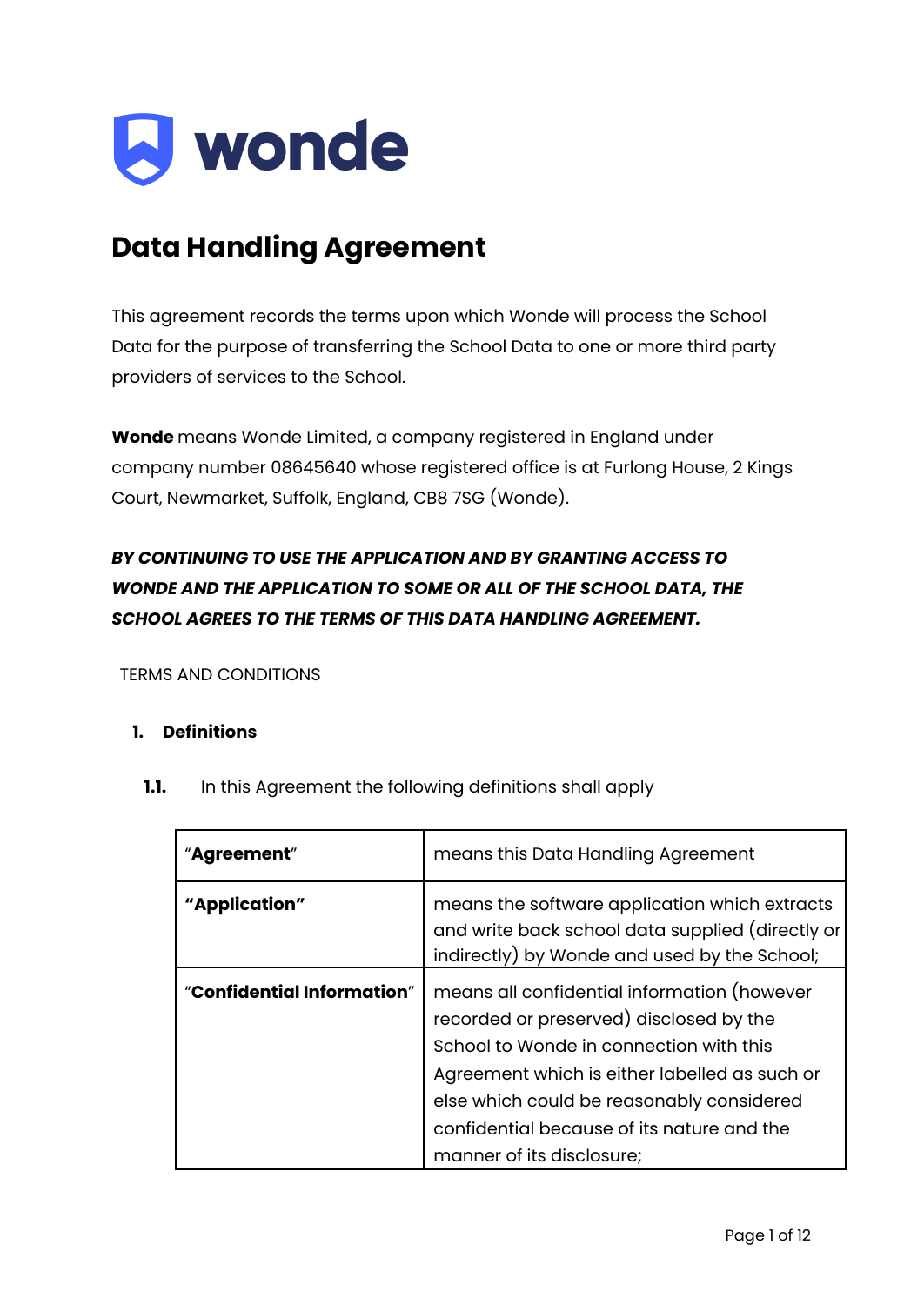

## **Data Handling Agreement**

This agreement records the terms upon which Wonde will process the School Data for the purpose of transferring the School Data to one or more third party providers of services to the School.

**Wonde** means Wonde Limited, a company registered in England under company number 08645640 whose registered office is at Furlong House, 2 Kings Court, Newmarket, Suffolk, England, CB8 7SG (Wonde).

### *BY CONTINUING TO USE THE APPLICATION AND BY GRANTING ACCESS TO WONDE AND THE APPLICATION TO SOME OR ALL OF THE SCHOOL DATA, THE SCHOOL AGREES TO THE TERMS OF THIS DATA HANDLING AGREEMENT.*

TERMS AND CONDITIONS

#### **1. Definitions**

**1.1.** In this Agreement the following definitions shall apply

| "Agreement"                | means this Data Handling Agreement                                                                                                                                                                                                                                                                         |
|----------------------------|------------------------------------------------------------------------------------------------------------------------------------------------------------------------------------------------------------------------------------------------------------------------------------------------------------|
| "Application"              | means the software application which extracts<br>and write back school data supplied (directly or<br>indirectly) by Wonde and used by the School;                                                                                                                                                          |
| "Confidential Information" | means all confidential information (however<br>recorded or preserved) disclosed by the<br>School to Wonde in connection with this<br>Agreement which is either labelled as such or<br>else which could be reasonably considered<br>confidential because of its nature and the<br>manner of its disclosure; |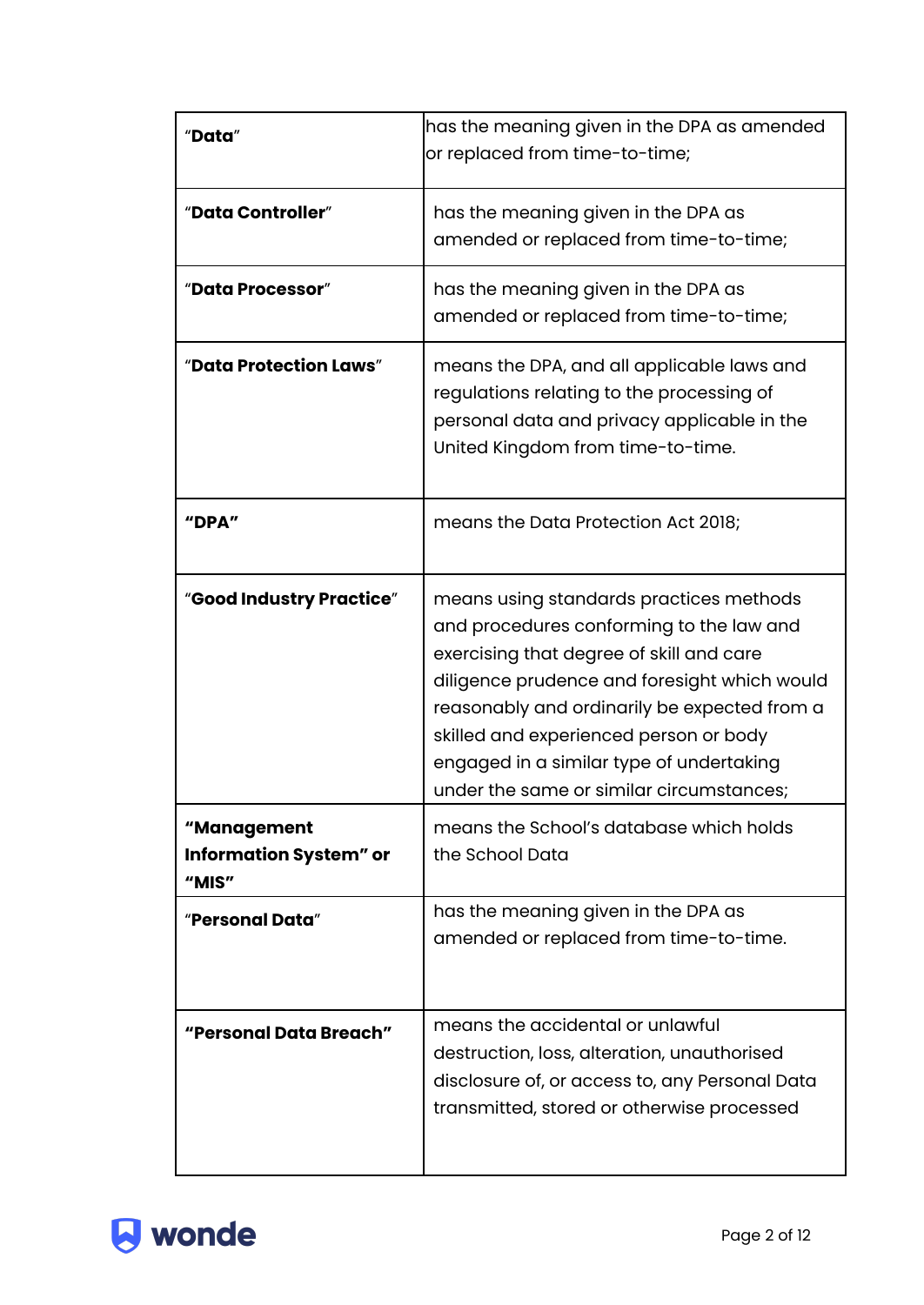| "Data"                                                | has the meaning given in the DPA as amended<br>or replaced from time-to-time;                                                                                                                                                                                                                                                                                     |
|-------------------------------------------------------|-------------------------------------------------------------------------------------------------------------------------------------------------------------------------------------------------------------------------------------------------------------------------------------------------------------------------------------------------------------------|
| "Data Controller"                                     | has the meaning given in the DPA as<br>amended or replaced from time-to-time;                                                                                                                                                                                                                                                                                     |
| "Data Processor"                                      | has the meaning given in the DPA as<br>amended or replaced from time-to-time;                                                                                                                                                                                                                                                                                     |
| "Data Protection Laws"                                | means the DPA, and all applicable laws and<br>regulations relating to the processing of<br>personal data and privacy applicable in the<br>United Kingdom from time-to-time.                                                                                                                                                                                       |
| "DPA"                                                 | means the Data Protection Act 2018;                                                                                                                                                                                                                                                                                                                               |
| "Good Industry Practice"                              | means using standards practices methods<br>and procedures conforming to the law and<br>exercising that degree of skill and care<br>diligence prudence and foresight which would<br>reasonably and ordinarily be expected from a<br>skilled and experienced person or body<br>engaged in a similar type of undertaking<br>under the same or similar circumstances; |
| "Management<br><b>Information System" or</b><br>"MIS" | means the School's database which holds<br>the School Data                                                                                                                                                                                                                                                                                                        |
| "Personal Data"                                       | has the meaning given in the DPA as<br>amended or replaced from time-to-time.                                                                                                                                                                                                                                                                                     |
| "Personal Data Breach"                                | means the accidental or unlawful<br>destruction, loss, alteration, unauthorised<br>disclosure of, or access to, any Personal Data<br>transmitted, stored or otherwise processed                                                                                                                                                                                   |

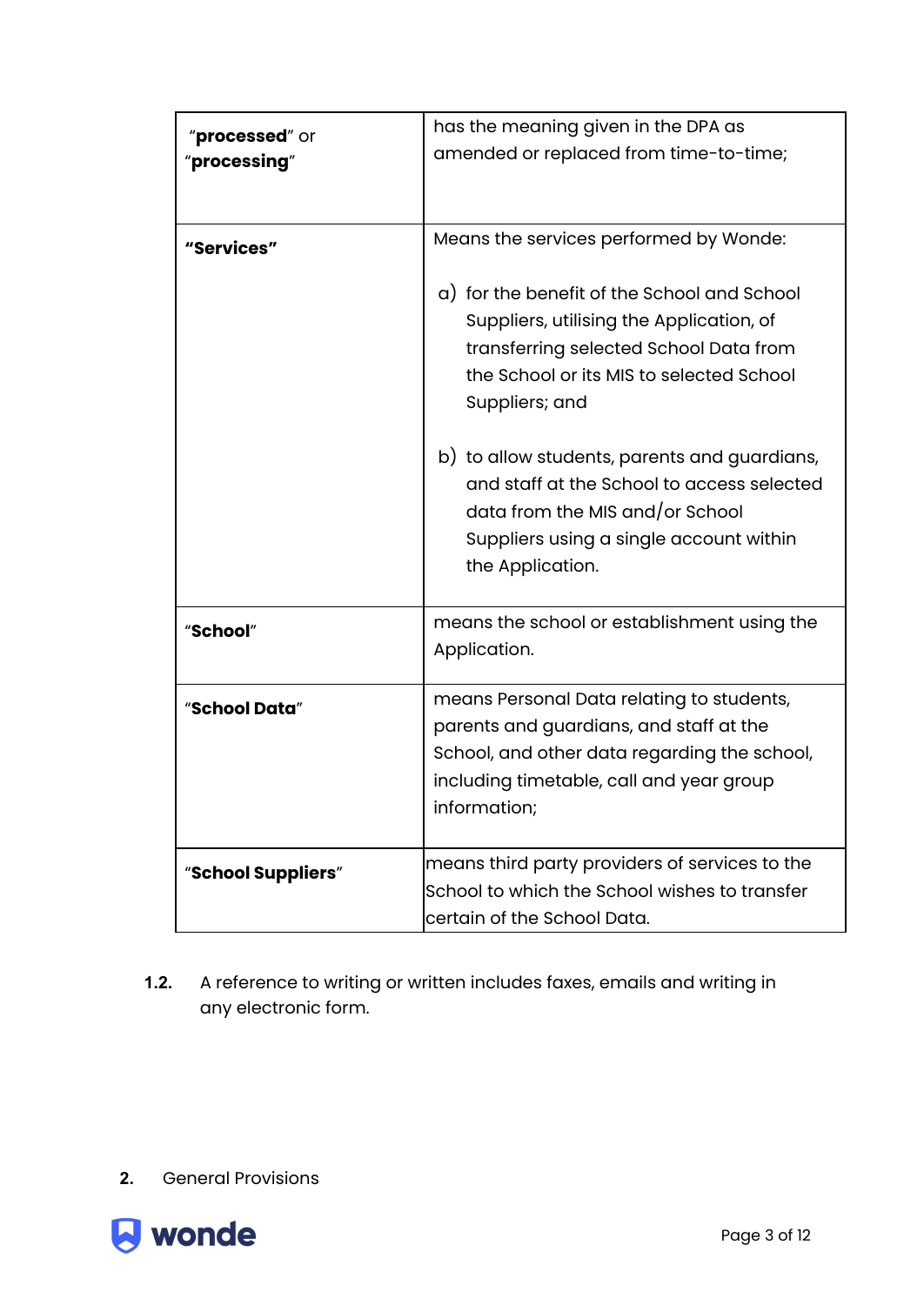| "processed" or<br>"processing" | has the meaning given in the DPA as<br>amended or replaced from time-to-time;                                                                                                                                                                                                             |
|--------------------------------|-------------------------------------------------------------------------------------------------------------------------------------------------------------------------------------------------------------------------------------------------------------------------------------------|
| "Services"                     | Means the services performed by Wonde:<br>a) for the benefit of the School and School<br>Suppliers, utilising the Application, of<br>transferring selected School Data from<br>the School or its MIS to selected School<br>Suppliers; and<br>b) to allow students, parents and guardians, |
|                                | and staff at the School to access selected<br>data from the MIS and/or School<br>Suppliers using a single account within<br>the Application.                                                                                                                                              |
| "School"                       | means the school or establishment using the<br>Application.                                                                                                                                                                                                                               |
| "School Data"                  | means Personal Data relating to students,<br>parents and guardians, and staff at the<br>School, and other data regarding the school,<br>including timetable, call and year group<br>information;                                                                                          |
| "School Suppliers"             | means third party providers of services to the<br>School to which the School wishes to transfer<br>certain of the School Data.                                                                                                                                                            |

**1.2.** A reference to writing or written includes faxes, emails and writing in any electronic form.

**2.** General Provisions

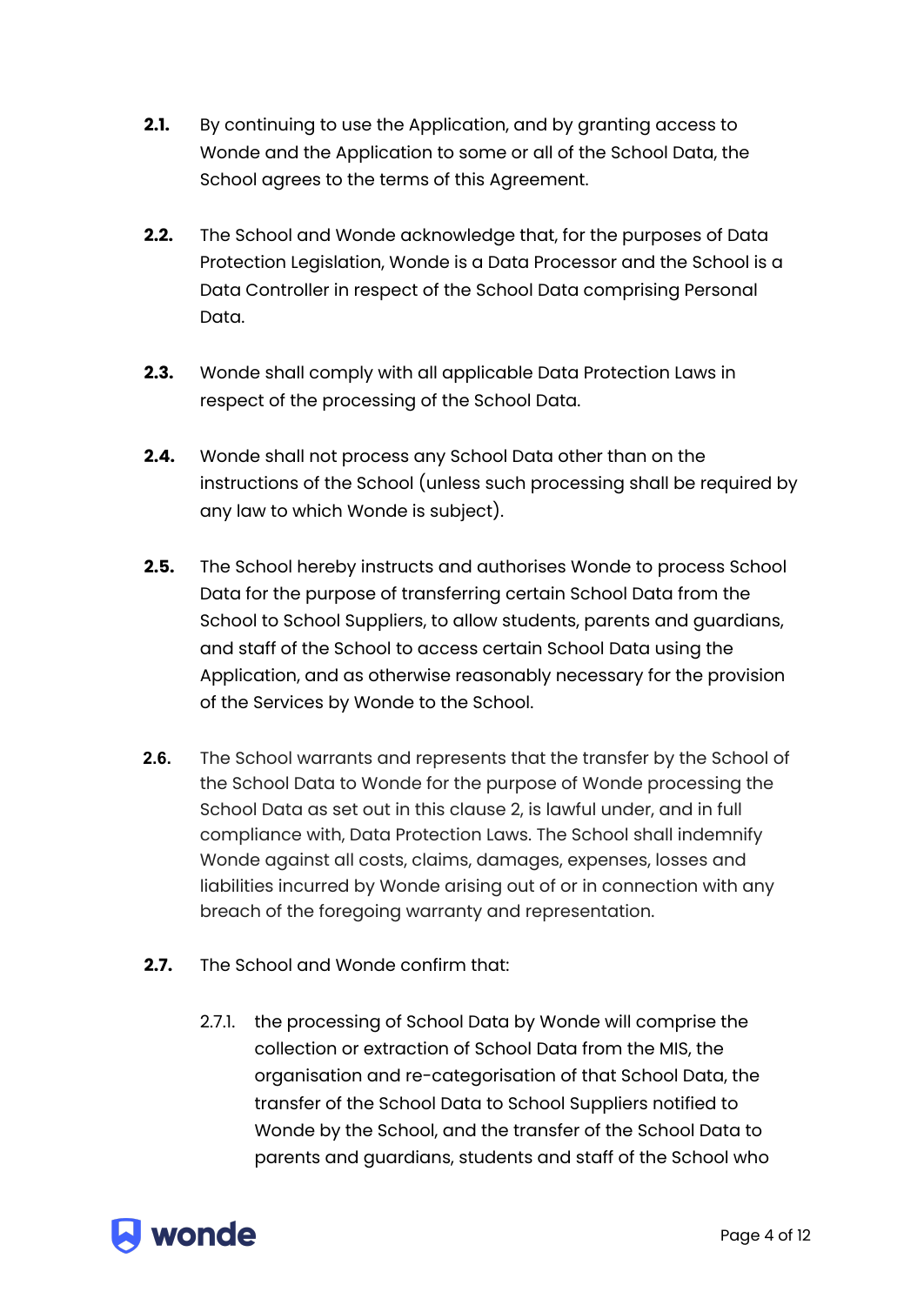- **2.1.** By continuing to use the Application, and by granting access to Wonde and the Application to some or all of the School Data, the School agrees to the terms of this Agreement.
- **2.2.** The School and Wonde acknowledge that, for the purposes of Data Protection Legislation, Wonde is a Data Processor and the School is a Data Controller in respect of the School Data comprising Personal Data.
- **2.3.** Wonde shall comply with all applicable Data Protection Laws in respect of the processing of the School Data.
- **2.4.** Wonde shall not process any School Data other than on the instructions of the School (unless such processing shall be required by any law to which Wonde is subject).
- **2.5.** The School hereby instructs and authorises Wonde to process School Data for the purpose of transferring certain School Data from the School to School Suppliers, to allow students, parents and guardians, and staff of the School to access certain School Data using the Application, and as otherwise reasonably necessary for the provision of the Services by Wonde to the School.
- **2.6.** The School warrants and represents that the transfer by the School of the School Data to Wonde for the purpose of Wonde processing the School Data as set out in this clause 2, is lawful under, and in full compliance with, Data Protection Laws. The School shall indemnify Wonde against all costs, claims, damages, expenses, losses and liabilities incurred by Wonde arising out of or in connection with any breach of the foregoing warranty and representation.
- **2.7.** The School and Wonde confirm that:
	- 2.7.1. the processing of School Data by Wonde will comprise the collection or extraction of School Data from the MIS, the organisation and re-categorisation of that School Data, the transfer of the School Data to School Suppliers notified to Wonde by the School, and the transfer of the School Data to parents and guardians, students and staff of the School who

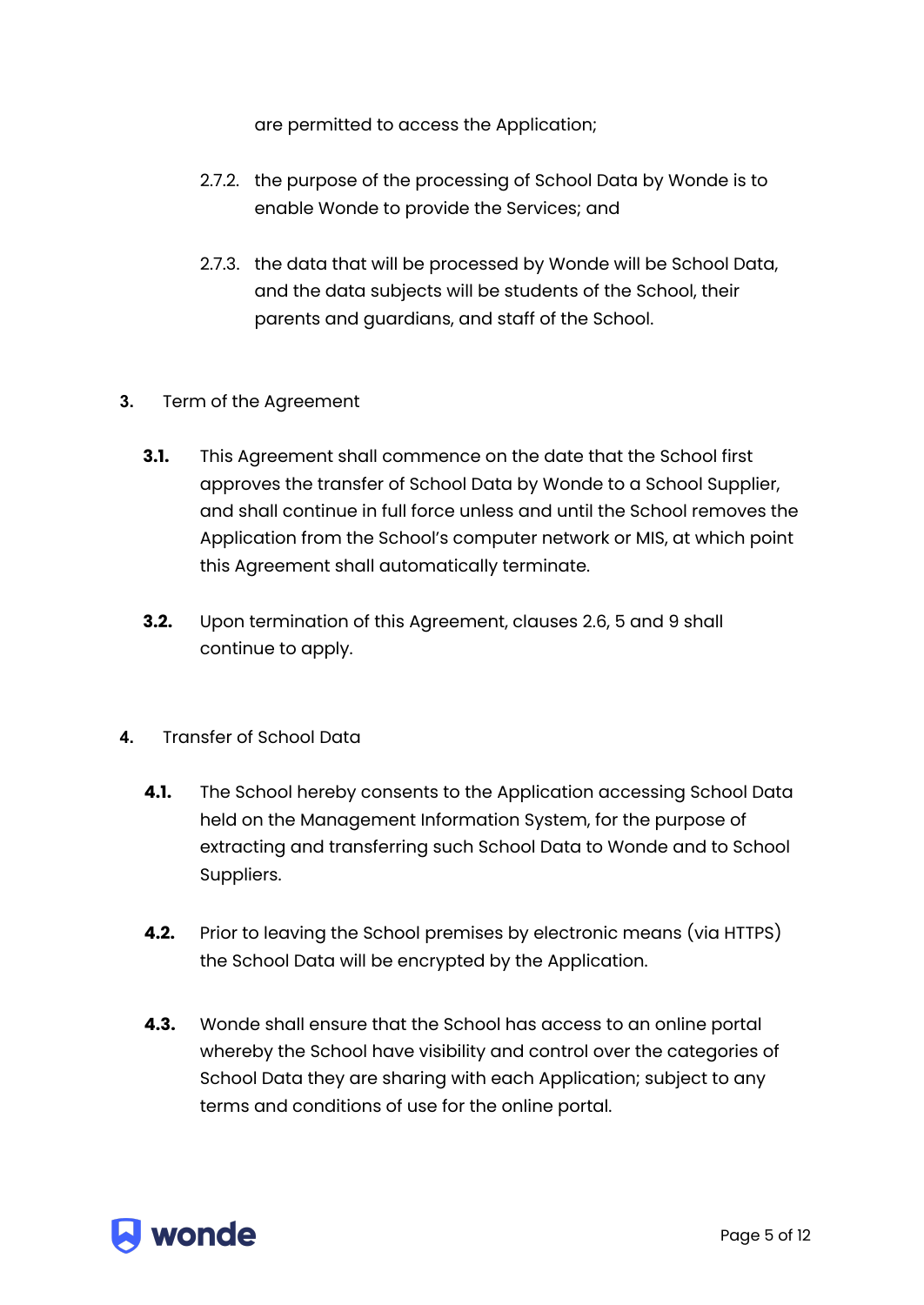are permitted to access the Application;

- 2.7.2. the purpose of the processing of School Data by Wonde is to enable Wonde to provide the Services; and
- 2.7.3. the data that will be processed by Wonde will be School Data, and the data subjects will be students of the School, their parents and guardians, and staff of the School.

#### **3.** Term of the Agreement

- **3.1.** This Agreement shall commence on the date that the School first approves the transfer of School Data by Wonde to a School Supplier, and shall continue in full force unless and until the School removes the Application from the School's computer network or MIS, at which point this Agreement shall automatically terminate.
- **3.2.** Upon termination of this Agreement, clauses 2.6, 5 and 9 shall continue to apply.
- **4.** Transfer of School Data
	- **4.1.** The School hereby consents to the Application accessing School Data held on the Management Information System, for the purpose of extracting and transferring such School Data to Wonde and to School Suppliers.
	- **4.2.** Prior to leaving the School premises by electronic means (via HTTPS) the School Data will be encrypted by the Application.
	- **4.3.** Wonde shall ensure that the School has access to an online portal whereby the School have visibility and control over the categories of School Data they are sharing with each Application; subject to any terms and conditions of use for the online portal.

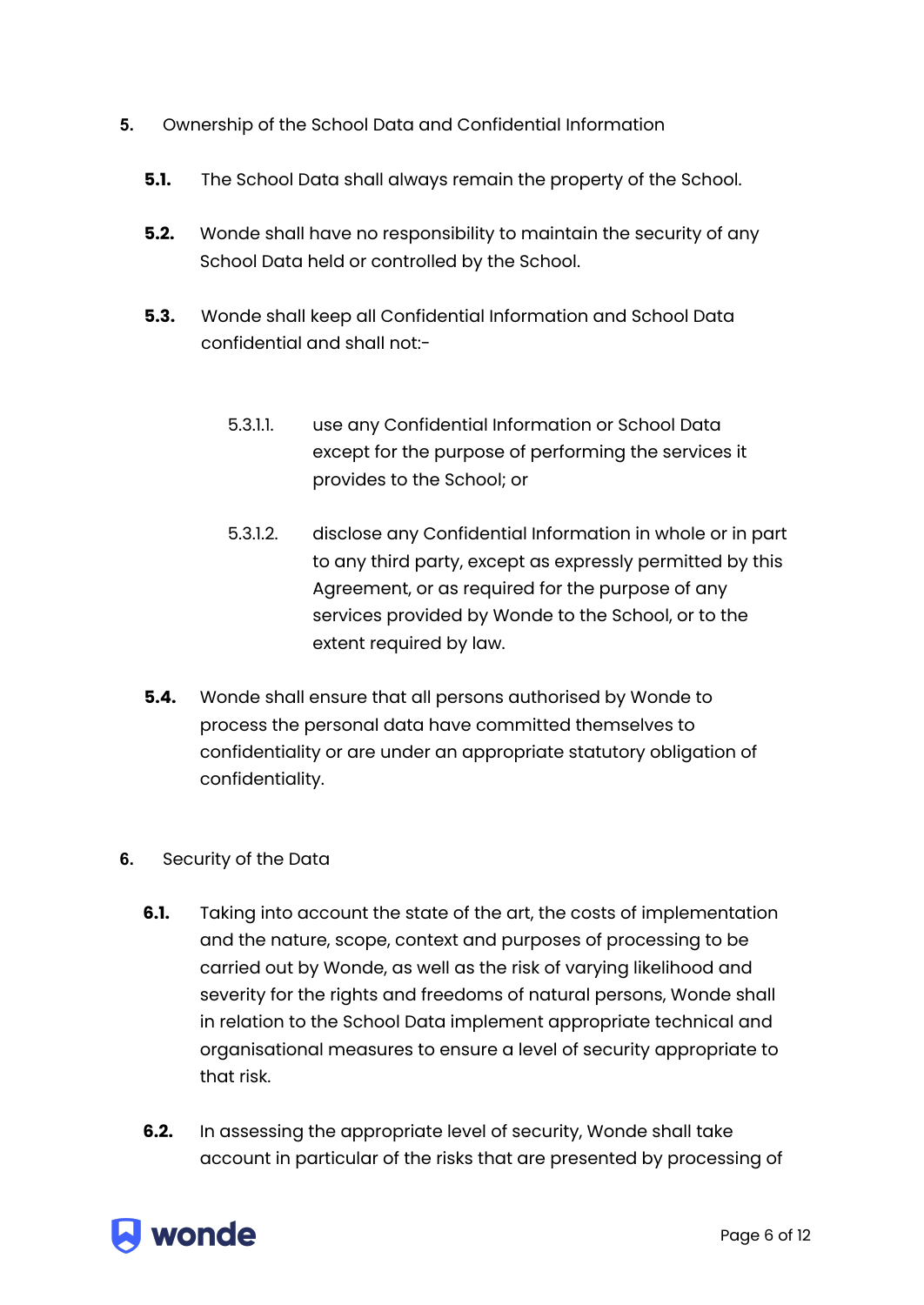- **5.** Ownership of the School Data and Confidential Information
	- **5.1.** The School Data shall always remain the property of the School.
	- **5.2.** Wonde shall have no responsibility to maintain the security of any School Data held or controlled by the School.
	- **5.3.** Wonde shall keep all Confidential Information and School Data confidential and shall not:-
		- 5.3.1.1. use any Confidential Information or School Data except for the purpose of performing the services it provides to the School; or
		- 5.3.1.2. disclose any Confidential Information in whole or in part to any third party, except as expressly permitted by this Agreement, or as required for the purpose of any services provided by Wonde to the School, or to the extent required by law.
	- **5.4.** Wonde shall ensure that all persons authorised by Wonde to process the personal data have committed themselves to confidentiality or are under an appropriate statutory obligation of confidentiality.
- **6.** Security of the Data
	- **6.1.** Taking into account the state of the art, the costs of implementation and the nature, scope, context and purposes of processing to be carried out by Wonde, as well as the risk of varying likelihood and severity for the rights and freedoms of natural persons, Wonde shall in relation to the School Data implement appropriate technical and organisational measures to ensure a level of security appropriate to that risk.
	- **6.2.** In assessing the appropriate level of security, Wonde shall take account in particular of the risks that are presented by processing of

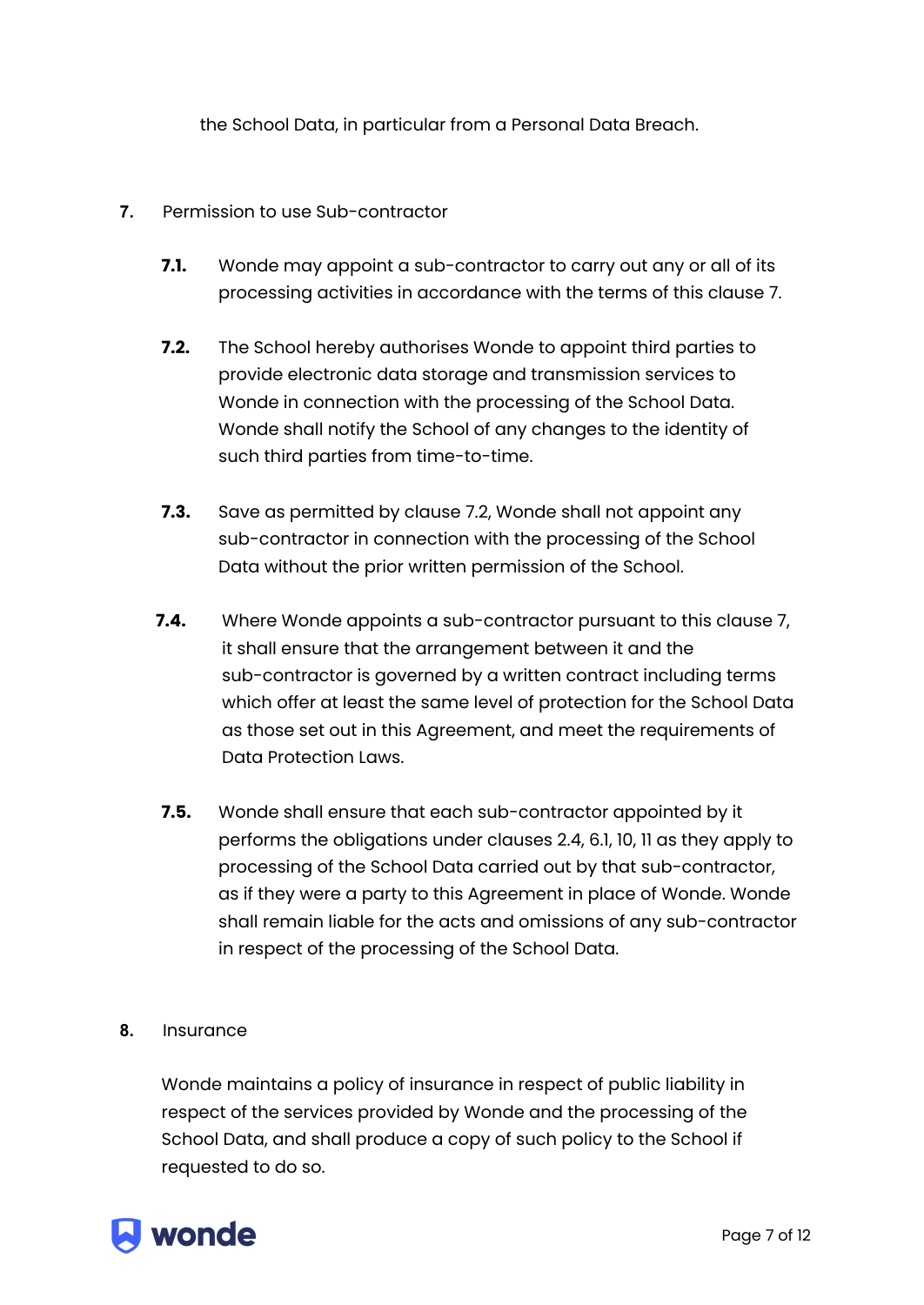the School Data, in particular from a Personal Data Breach.

#### **7.** Permission to use Sub-contractor

- **7.1.** Wonde may appoint a sub-contractor to carry out any or all of its processing activities in accordance with the terms of this clause 7.
- **7.2.** The School hereby authorises Wonde to appoint third parties to provide electronic data storage and transmission services to Wonde in connection with the processing of the School Data. Wonde shall notify the School of any changes to the identity of such third parties from time-to-time.
- **7.3.** Save as permitted by clause 7.2, Wonde shall not appoint any sub-contractor in connection with the processing of the School Data without the prior written permission of the School.
- **7.4.** Where Wonde appoints a sub-contractor pursuant to this clause 7, it shall ensure that the arrangement between it and the sub-contractor is governed by a written contract including terms which offer at least the same level of protection for the School Data as those set out in this Agreement, and meet the requirements of Data Protection Laws.
- **7.5.** Wonde shall ensure that each sub-contractor appointed by it performs the obligations under clauses 2.4, 6.1, 10, 11 as they apply to processing of the School Data carried out by that sub-contractor, as if they were a party to this Agreement in place of Wonde. Wonde shall remain liable for the acts and omissions of any sub-contractor in respect of the processing of the School Data.
- **8.** Insurance

Wonde maintains a policy of insurance in respect of public liability in respect of the services provided by Wonde and the processing of the School Data, and shall produce a copy of such policy to the School if requested to do so.

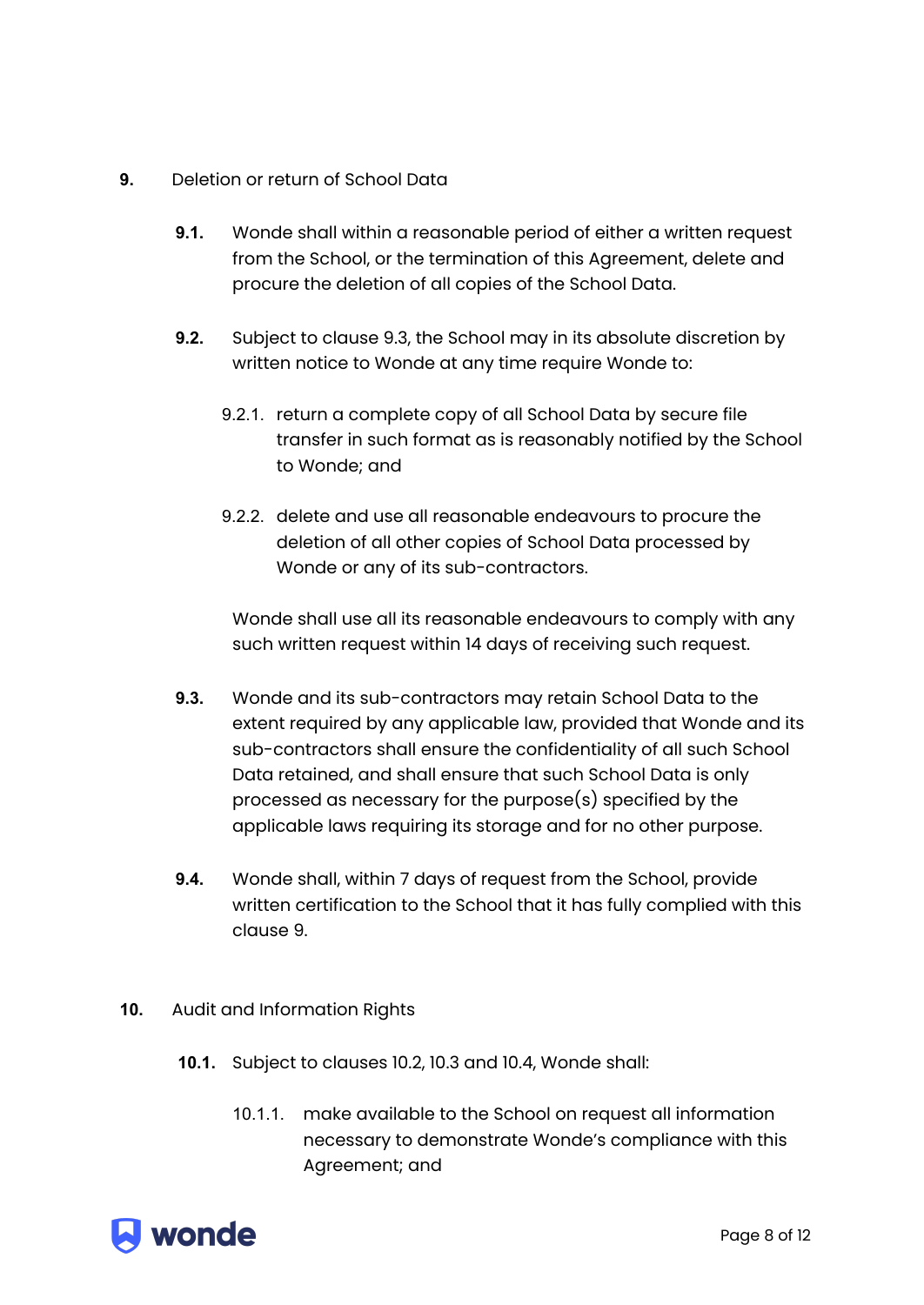#### **9.** Deletion or return of School Data

- **9.1.** Wonde shall within a reasonable period of either a written request from the School, or the termination of this Agreement, delete and procure the deletion of all copies of the School Data.
- **9.2.** Subject to clause 9.3, the School may in its absolute discretion by written notice to Wonde at any time require Wonde to:
	- 9.2.1. return a complete copy of all School Data by secure file transfer in such format as is reasonably notified by the School to Wonde; and
	- 9.2.2. delete and use all reasonable endeavours to procure the deletion of all other copies of School Data processed by Wonde or any of its sub-contractors.

Wonde shall use all its reasonable endeavours to comply with any such written request within 14 days of receiving such request.

- **9.3.** Wonde and its sub-contractors may retain School Data to the extent required by any applicable law, provided that Wonde and its sub-contractors shall ensure the confidentiality of all such School Data retained, and shall ensure that such School Data is only processed as necessary for the purpose(s) specified by the applicable laws requiring its storage and for no other purpose.
- **9.4.** Wonde shall, within 7 days of request from the School, provide written certification to the School that it has fully complied with this clause 9.
- **10.** Audit and Information Rights
	- **10.1.** Subject to clauses 10.2, 10.3 and 10.4, Wonde shall:
		- 10.1.1. make available to the School on request all information necessary to demonstrate Wonde's compliance with this Agreement; and

# **A** wonde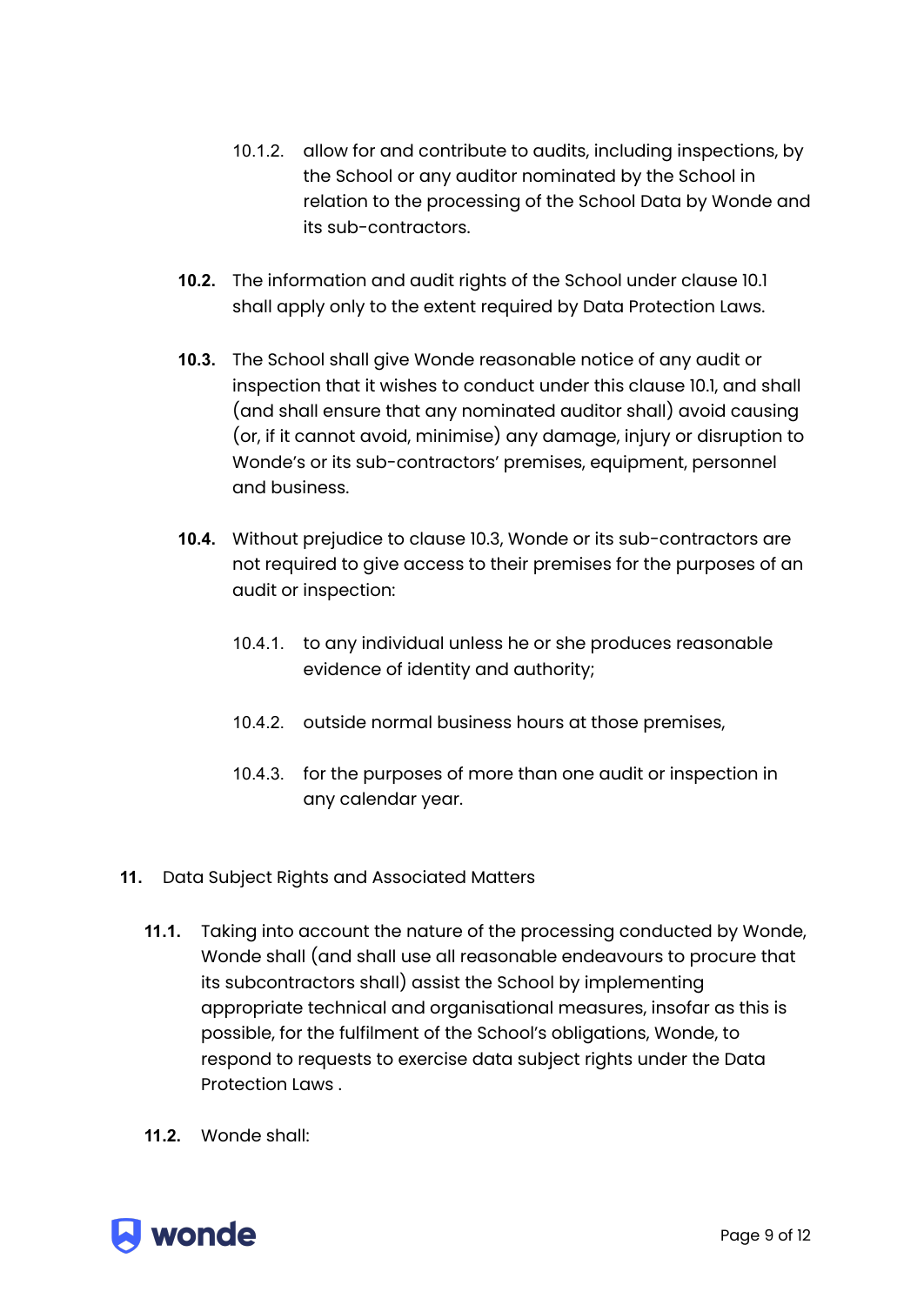- 10.1.2. allow for and contribute to audits, including inspections, by the School or any auditor nominated by the School in relation to the processing of the School Data by Wonde and its sub-contractors.
- **10.2.** The information and audit rights of the School under clause 10.1 shall apply only to the extent required by Data Protection Laws.
- **10.3.** The School shall give Wonde reasonable notice of any audit or inspection that it wishes to conduct under this clause 10.1, and shall (and shall ensure that any nominated auditor shall) avoid causing (or, if it cannot avoid, minimise) any damage, injury or disruption to Wonde's or its sub-contractors' premises, equipment, personnel and business.
- **10.4.** Without prejudice to clause 10.3, Wonde or its sub-contractors are not required to give access to their premises for the purposes of an audit or inspection:
	- 10.4.1. to any individual unless he or she produces reasonable evidence of identity and authority;
	- 10.4.2. outside normal business hours at those premises,
	- 10.4.3. for the purposes of more than one audit or inspection in any calendar year.
- **11.** Data Subject Rights and Associated Matters
	- **11.1.** Taking into account the nature of the processing conducted by Wonde, Wonde shall (and shall use all reasonable endeavours to procure that its subcontractors shall) assist the School by implementing appropriate technical and organisational measures, insofar as this is possible, for the fulfilment of the School's obligations, Wonde, to respond to requests to exercise data subject rights under the Data Protection Laws .
	- **11.2.** Wonde shall:

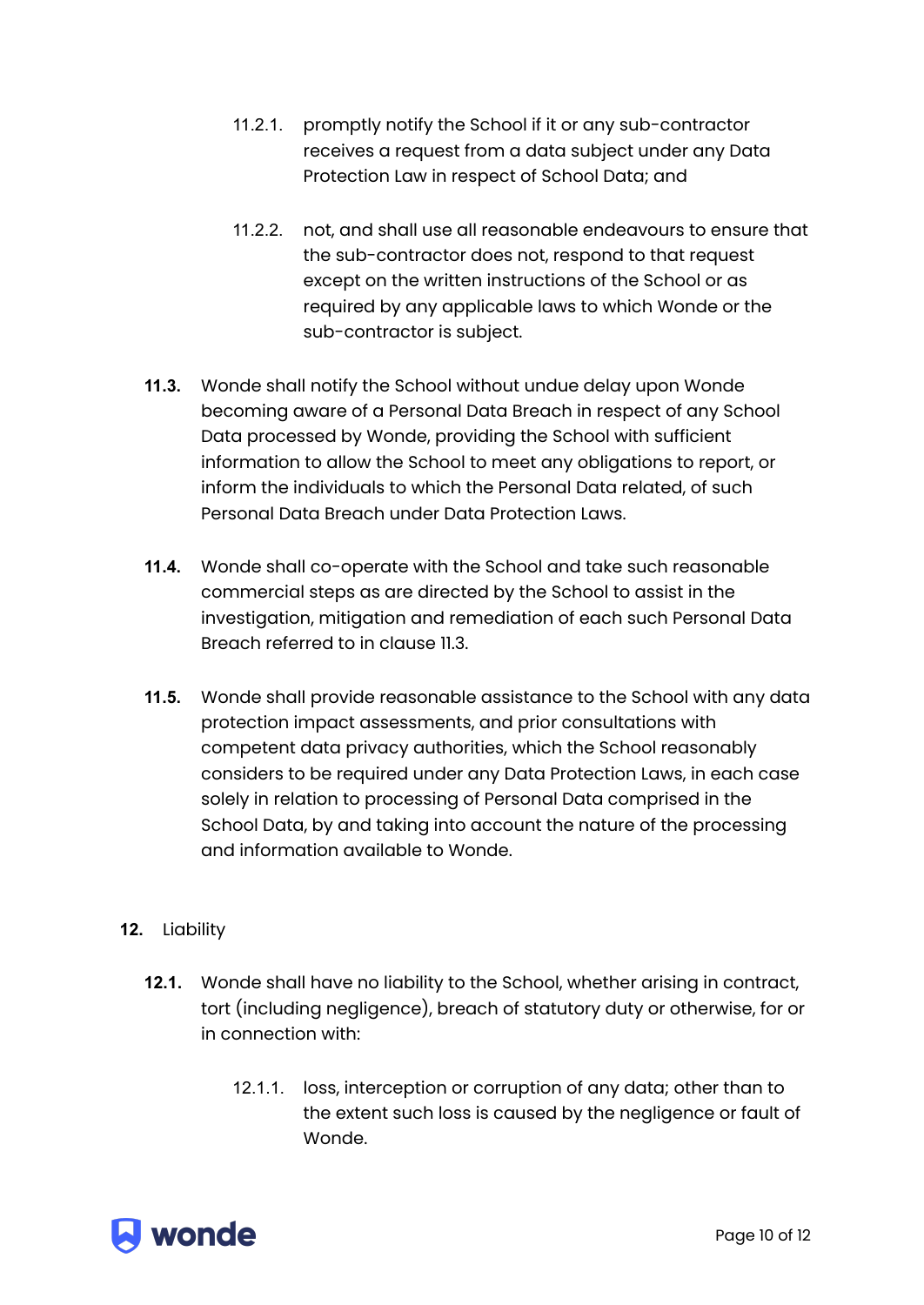- 11.2.1. promptly notify the School if it or any sub-contractor receives a request from a data subject under any Data Protection Law in respect of School Data; and
- 11.2.2. not, and shall use all reasonable endeavours to ensure that the sub-contractor does not, respond to that request except on the written instructions of the School or as required by any applicable laws to which Wonde or the sub-contractor is subject.
- **11.3.** Wonde shall notify the School without undue delay upon Wonde becoming aware of a Personal Data Breach in respect of any School Data processed by Wonde, providing the School with sufficient information to allow the School to meet any obligations to report, or inform the individuals to which the Personal Data related, of such Personal Data Breach under Data Protection Laws.
- **11.4.** Wonde shall co-operate with the School and take such reasonable commercial steps as are directed by the School to assist in the investigation, mitigation and remediation of each such Personal Data Breach referred to in clause 11.3.
- **11.5.** Wonde shall provide reasonable assistance to the School with any data protection impact assessments, and prior consultations with competent data privacy authorities, which the School reasonably considers to be required under any Data Protection Laws, in each case solely in relation to processing of Personal Data comprised in the School Data, by and taking into account the nature of the processing and information available to Wonde.

#### **12.** Liability

- **12.1.** Wonde shall have no liability to the School, whether arising in contract, tort (including negligence), breach of statutory duty or otherwise, for or in connection with:
	- 12.1.1. loss, interception or corruption of any data; other than to the extent such loss is caused by the negligence or fault of Wonde.

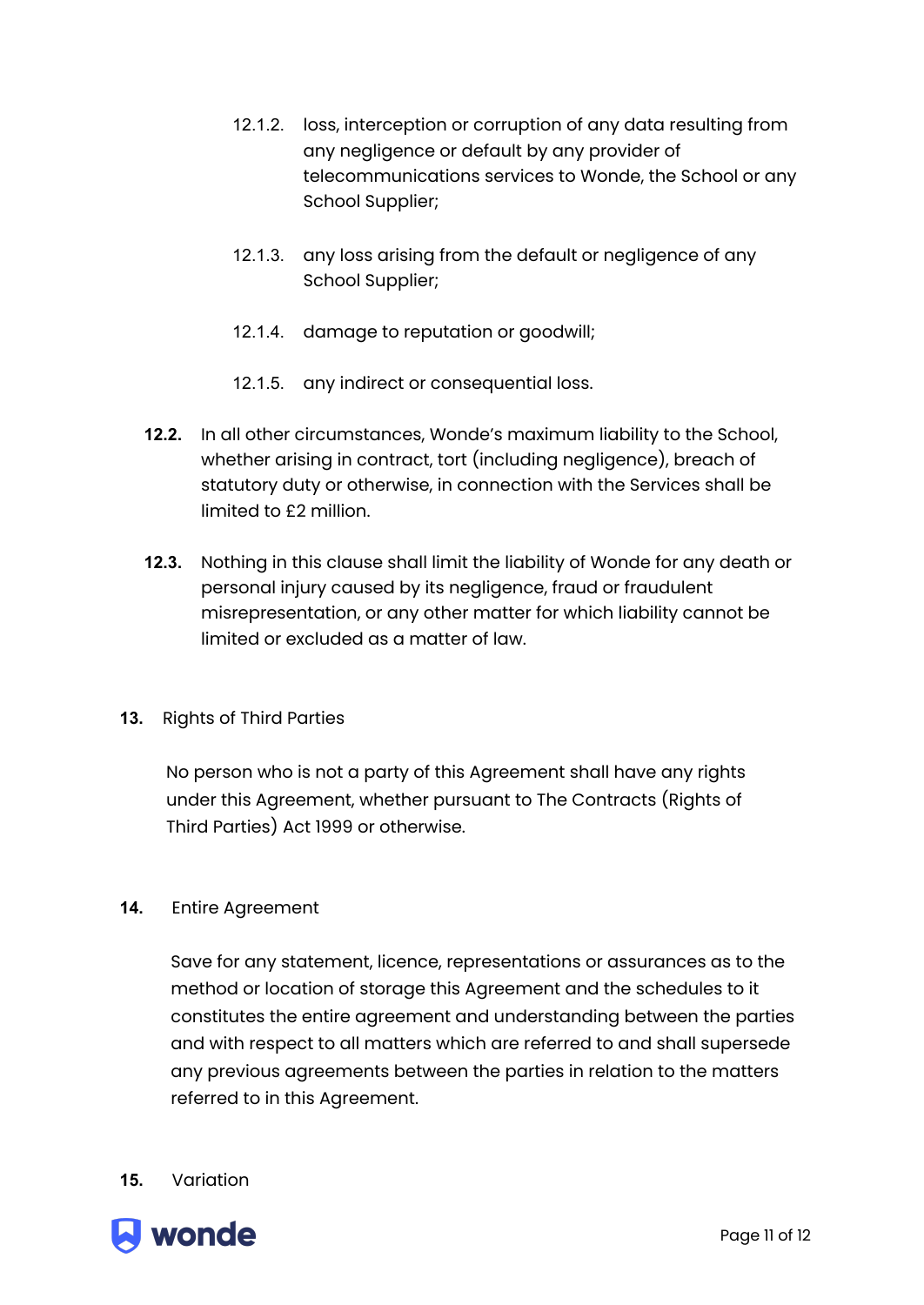- 12.1.2. loss, interception or corruption of any data resulting from any negligence or default by any provider of telecommunications services to Wonde, the School or any School Supplier;
- 12.1.3. any loss arising from the default or negligence of any School Supplier;
- 12.1.4. damage to reputation or goodwill;
- 12.1.5. any indirect or consequential loss.
- **12.2.** In all other circumstances, Wonde's maximum liability to the School, whether arising in contract, tort (including negligence), breach of statutory duty or otherwise, in connection with the Services shall be limited to £2 million.
- **12.3.** Nothing in this clause shall limit the liability of Wonde for any death or personal injury caused by its negligence, fraud or fraudulent misrepresentation, or any other matter for which liability cannot be limited or excluded as a matter of law.
- **13.** Rights of Third Parties

No person who is not a party of this Agreement shall have any rights under this Agreement, whether pursuant to The Contracts (Rights of Third Parties) Act 1999 or otherwise.

#### **14.** Entire Agreement

Save for any statement, licence, representations or assurances as to the method or location of storage this Agreement and the schedules to it constitutes the entire agreement and understanding between the parties and with respect to all matters which are referred to and shall supersede any previous agreements between the parties in relation to the matters referred to in this Agreement.

**15.** Variation